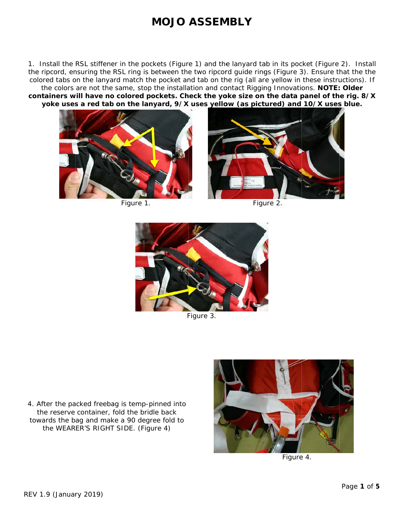1. Install the RSL stiffener in the pockets (Figure 1) and the lanyard tab in its pocket (Figure 2). Install the ripcord, ensuring the RSL ring is between the two ripcord guide rings (Figure 3). Ensure that the the colored tabs on the lanyard match the pocket and tab on the rig (all are yellow in these instructions). If the colors are not the same, stop the installation and contact Rigging Innovations. NOTE: Older containers will have no colored pockets. Check the yoke size on the data panel of the rig. 8/X yoke uses a red tab on the lanyard, 9/X uses yellow (as pictured) and 10/X uses blue.



Figure 1.



Figure 2.



Figure 3.

4. After the packed freebag is temp-pinned into the reserve container, fold the bridle back towards the bag and make a 90 degree fold to the WEARER'S RIGHT SIDE. (Figure 4)



Figure 4.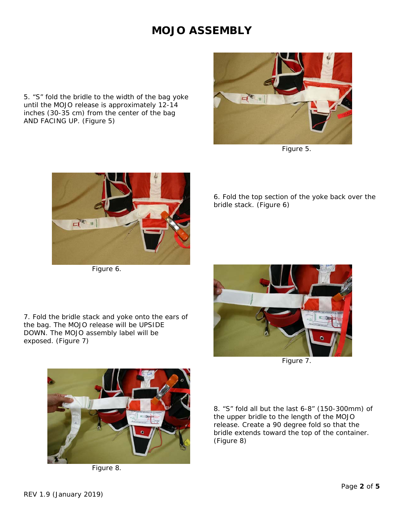5. "S" fold the bridle to the width of the bag yoke until the MOJO release is approximately 12-14 inches (30-35 cm) from the center of the bag AND FACING UP. (*Figure 5*)



*Figure 5.*



*Figure 6.* 

6. Fold the top section of the yoke back over the bridle stack. (*Figure 6*)

7. Fold the bridle stack and yoke onto the ears of the bag. The MOJO release will be UPSIDE DOWN. The MOJO assembly label will be exposed. (*Figure 7*)



*Figure 7.* 



*Figure 8.* 

8. "S" fold all but the last 6-8" (150-300mm) of the upper bridle to the length of the MOJO release. Create a 90 degree fold so that the bridle extends toward the top of the container. (*Figure 8*)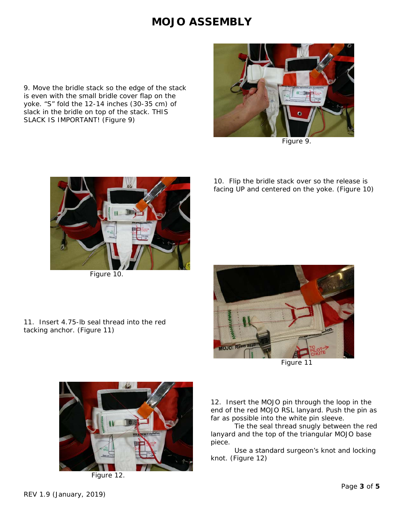9. Move the bridle stack so the edge of the stack is even with the small bridle cover flap on the yoke. "S" fold the 12-14 inches (30-35 cm) of slack in the bridle on top of the stack. THIS SLACK IS IMPORTANT! (*Figure 9*)



*Figure 9.*



*Figure 10.*

10. Flip the bridle stack over so the release is facing UP and centered on the yoke. (*Figure 10*)



*Figure 11*

11. Insert 4.75-lb seal thread into the red tacking anchor. (*Figure 11*)

> 12. Insert the MOJO pin through the loop in the end of the red MOJO RSL lanyard. Push the pin as far as possible into the white pin sleeve.

> Tie the seal thread snugly between the red lanyard and the top of the triangular MOJO base piece.

> Use a standard surgeon's knot and locking knot. (*Figure 12*)



*Figure 12.*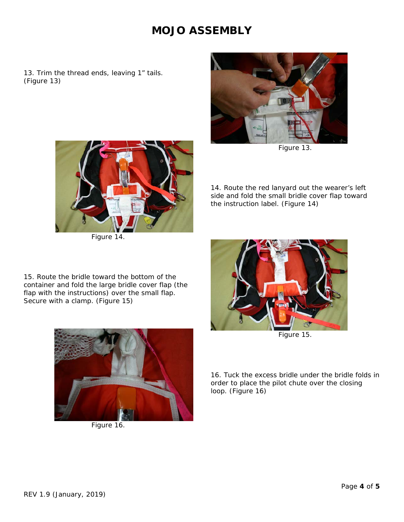13. Trim the thread ends, leaving 1" tails. (*Figure 13*)



*Figure 13.* 

14. Route the red lanyard out the wearer's left side and fold the small bridle cover flap toward the instruction label. (*Figure 14*)



*Figure 14.* 

15. Route the bridle toward the bottom of the container and fold the large bridle cover flap (the flap with the instructions) over the small flap. Secure with a clamp. (*Figure 15*)



*Figure 15.* 

16. Tuck the excess bridle under the bridle folds in order to place the pilot chute over the closing loop. (*Figure 16*)



*Figure 16*.